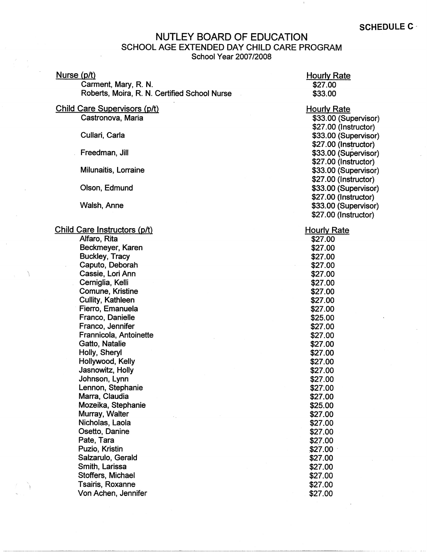## NUTLEY BOARD OF EDUCATION SCHOOL AGE EXTENDED DAY CHILD CARE PROGRAM School Year 2007/2008

## Nurse {p/t)

Garment, Mary, R. N. Roberts, Moira, R. N. Certified School Nurse

## Child Care Supervisors {p/t)

Castronova, Maria

Cullari, Carla

Freedman, Jill

Milunaitis, Lorraine

Olson, Edmund

Walsh, Anne

## Child Care Instructors (p/t)

Alfaro, Rita Beckmeyer, Karen Buckley, Tracy Caputo, Deborah Cassie, Lori Ann Cerniglia, Kelli Comune, Kristine Cullity, Kathleen Fierro, Emanuela Franco, Danielle Franco, Jennifer Frannicola, Antoinette Gatto, Natalie Holly, Sheryl Hollywood, Kelly Jasnowitz, Holly Johnson, Lynn Lennon, Stephanie Marra, Claudia Mozeika, Stephanie Murray, Walter Nicholas, Laola Osetto, Danine Pate, Tara Puzio, Kristin Salzarulo, Gerald Smith, Larissa Stoffers, Michael Tsairis, Roxanne Von Achen, Jennifer

Hourly Rate \$27.00 \$33.00 Hourly Rate \$33.00 (Supervisor) \$27.00 (Instructor) \$33.00 (Supervisor) \$27.00 (Instructor) \$33.00 (Supervisor) \$27 .00 (Instructor) \$33.00 (Supervisor) \$27.00 (Instructor) \$33.00 (Supervisor) \$27.00 (Instructor) \$33.00 (Supervisor) \$27.00 (Instructor) Hourly Rate \$27.00 \$27.00 \$27.00 \$27.00 \$27.00 \$27.00 \$27.00 \$27.00

\$27.00 \$25.00 \$27.00 \$27.00 \$27.00 \$27.00 \$27.00 \$27.00 \$27.00 \$27.00 \$27.00 \$25.00 \$27.00 \$27.00 \$27.00 \$27.00  $$27.00$ \$27.00 \$27.00 \$27.00 \$27.00 \$27.00